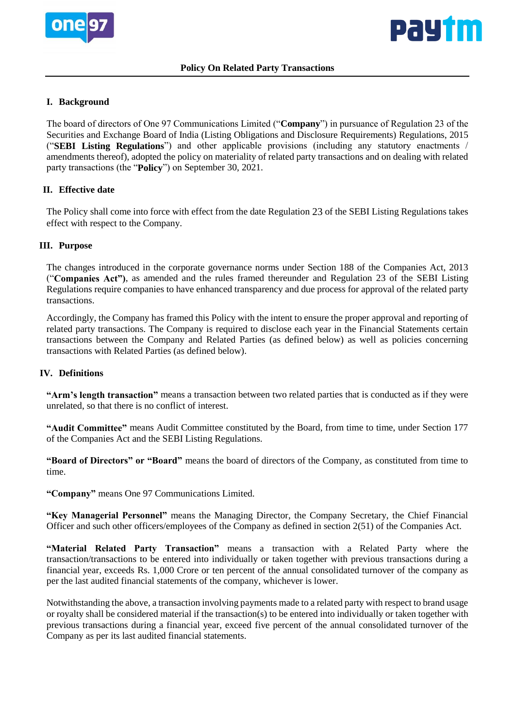



# **I. Background**

The board of directors of One 97 Communications Limited ("**Company**") in pursuance of Regulation 23 of the Securities and Exchange Board of India (Listing Obligations and Disclosure Requirements) Regulations, 2015 ("**SEBI Listing Regulations**") and other applicable provisions (including any statutory enactments / amendments thereof), adopted the policy on materiality of related party transactions and on dealing with related party transactions (the "**Policy**") on September 30, 2021.

# **II. Effective date**

The Policy shall come into force with effect from the date Regulation 23 of the SEBI Listing Regulations takes effect with respect to the Company.

# **III. Purpose**

The changes introduced in the corporate governance norms under Section 188 of the Companies Act, 2013 ("**Companies Act")**, as amended and the rules framed thereunder and Regulation 23 of the SEBI Listing Regulations require companies to have enhanced transparency and due process for approval of the related party transactions.

Accordingly, the Company has framed this Policy with the intent to ensure the proper approval and reporting of related party transactions. The Company is required to disclose each year in the Financial Statements certain transactions between the Company and Related Parties (as defined below) as well as policies concerning transactions with Related Parties (as defined below).

# **IV. Definitions**

**"Arm's length transaction"** means a transaction between two related parties that is conducted as if they were unrelated, so that there is no conflict of interest.

**"Audit Committee"** means Audit Committee constituted by the Board, from time to time, under Section 177 of the Companies Act and the SEBI Listing Regulations.

**"Board of Directors" or "Board"** means the board of directors of the Company, as constituted from time to time.

**"Company"** means One 97 Communications Limited.

**"Key Managerial Personnel"** means the Managing Director, the Company Secretary, the Chief Financial Officer and such other officers/employees of the Company as defined in section 2(51) of the Companies Act.

**"Material Related Party Transaction"** means a transaction with a Related Party where the transaction/transactions to be entered into individually or taken together with previous transactions during a financial year, exceeds Rs. 1,000 Crore or ten percent of the annual consolidated turnover of the company as per the last audited financial statements of the company, whichever is lower.

Notwithstanding the above, a transaction involving payments made to a related party with respect to brand usage or royalty shall be considered material if the transaction(s) to be entered into individually or taken together with previous transactions during a financial year, exceed five percent of the annual consolidated turnover of the Company as per its last audited financial statements.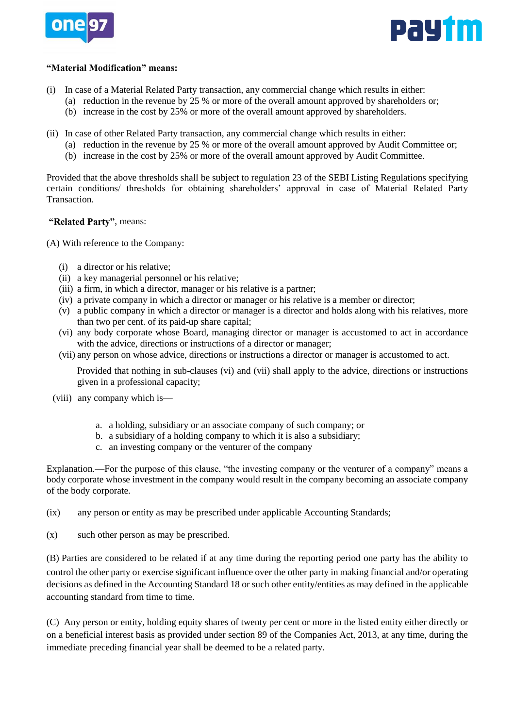



### **"Material Modification" means:**

- (i) In case of a Material Related Party transaction, any commercial change which results in either:
	- (a) reduction in the revenue by 25 % or more of the overall amount approved by shareholders or;
	- (b) increase in the cost by 25% or more of the overall amount approved by shareholders.
- (ii) In case of other Related Party transaction, any commercial change which results in either:
	- (a) reduction in the revenue by 25 % or more of the overall amount approved by Audit Committee or;
		- (b) increase in the cost by 25% or more of the overall amount approved by Audit Committee.

Provided that the above thresholds shall be subject to regulation 23 of the SEBI Listing Regulations specifying certain conditions/ thresholds for obtaining shareholders' approval in case of Material Related Party Transaction.

#### **"Related Party"**, means:

(A) With reference to the Company:

- (i) a director or his relative;
- (ii) a key managerial personnel or his relative;
- (iii) a firm, in which a director, manager or his relative is a partner;
- (iv) a private company in which a director or manager or his relative is a member or director;
- (v) a public company in which a director or manager is a director and holds along with his relatives, more than two per cent. of its paid-up share capital;
- (vi) any body corporate whose Board, managing director or manager is accustomed to act in accordance with the advice, directions or instructions of a director or manager;
- (vii) any person on whose advice, directions or instructions a director or manager is accustomed to act.

Provided that nothing in sub-clauses (vi) and (vii) shall apply to the advice, directions or instructions given in a professional capacity;

- (viii) any company which is
	- a. a holding, subsidiary or an associate company of such company; or
	- b. a subsidiary of a holding company to which it is also a subsidiary;
	- c. an investing company or the venturer of the company

Explanation.—For the purpose of this clause, "the investing company or the venturer of a company" means a body corporate whose investment in the company would result in the company becoming an associate company of the body corporate.

- (ix) any person or entity as may be prescribed under applicable Accounting Standards;
- (x) such other person as may be prescribed.

(B) Parties are considered to be related if at any time during the reporting period one party has the ability to control the other party or exercise significant influence over the other party in making financial and/or operating decisions as defined in the Accounting Standard 18 or such other entity/entities as may defined in the applicable accounting standard from time to time.

(C) Any person or entity, holding equity shares of twenty per cent or more in the listed entity either directly or on a beneficial interest basis as provided under section 89 of the Companies Act, 2013, at any time, during the immediate preceding financial year shall be deemed to be a related party.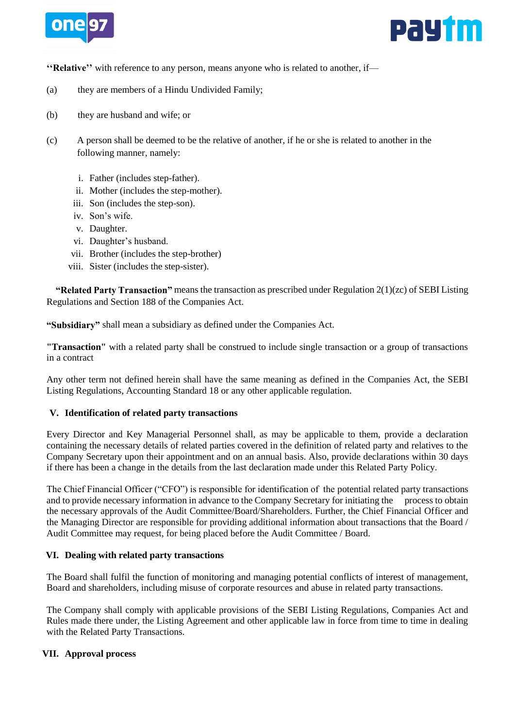



**''Relative''** with reference to any person, means anyone who is related to another, if—

- (a) they are members of a Hindu Undivided Family;
- (b) they are husband and wife; or
- (c) A person shall be deemed to be the relative of another, if he or she is related to another in the following manner, namely:
	- i. Father (includes step-father).
	- ii. Mother (includes the step-mother).
	- iii. Son (includes the step-son).
	- iv. Son's wife.
	- v. Daughter.
	- vi. Daughter's husband.
	- vii. Brother (includes the step-brother)
	- viii. Sister (includes the step-sister).

 **"Related Party Transaction"** means the transaction as prescribed under Regulation 2(1)(zc) of SEBI Listing Regulations and Section 188 of the Companies Act.

**"Subsidiary"** shall mean a subsidiary as defined under the Companies Act.

**"Transaction"** with a related party shall be construed to include single transaction or a group of transactions in a contract

Any other term not defined herein shall have the same meaning as defined in the Companies Act, the SEBI Listing Regulations, Accounting Standard 18 or any other applicable regulation.

# **V. Identification of related party transactions**

Every Director and Key Managerial Personnel shall, as may be applicable to them, provide a declaration containing the necessary details of related parties covered in the definition of related party and relatives to the Company Secretary upon their appointment and on an annual basis. Also, provide declarations within 30 days if there has been a change in the details from the last declaration made under this Related Party Policy.

The Chief Financial Officer ("CFO") is responsible for identification of the potential related party transactions and to provide necessary information in advance to the Company Secretary for initiating the process to obtain the necessary approvals of the Audit Committee/Board/Shareholders. Further, the Chief Financial Officer and the Managing Director are responsible for providing additional information about transactions that the Board / Audit Committee may request, for being placed before the Audit Committee / Board.

# **VI. Dealing with related party transactions**

The Board shall fulfil the function of monitoring and managing potential conflicts of interest of management, Board and shareholders, including misuse of corporate resources and abuse in related party transactions.

The Company shall comply with applicable provisions of the SEBI Listing Regulations, Companies Act and Rules made there under, the Listing Agreement and other applicable law in force from time to time in dealing with the Related Party Transactions.

# **VII. Approval process**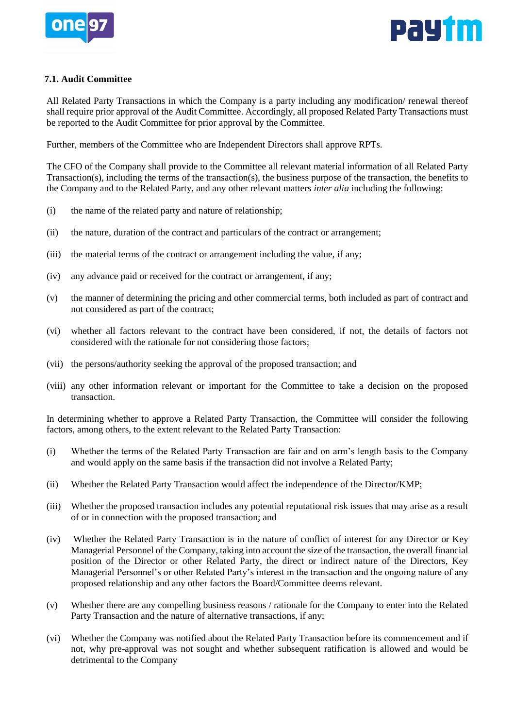



# **7.1. Audit Committee**

All Related Party Transactions in which the Company is a party including any modification/ renewal thereof shall require prior approval of the Audit Committee. Accordingly, all proposed Related Party Transactions must be reported to the Audit Committee for prior approval by the Committee.

Further, members of the Committee who are Independent Directors shall approve RPTs.

The CFO of the Company shall provide to the Committee all relevant material information of all Related Party Transaction(s), including the terms of the transaction(s), the business purpose of the transaction, the benefits to the Company and to the Related Party, and any other relevant matters *inter alia* including the following:

- (i) the name of the related party and nature of relationship;
- (ii) the nature, duration of the contract and particulars of the contract or arrangement;
- (iii) the material terms of the contract or arrangement including the value, if any;
- (iv) any advance paid or received for the contract or arrangement, if any;
- (v) the manner of determining the pricing and other commercial terms, both included as part of contract and not considered as part of the contract;
- (vi) whether all factors relevant to the contract have been considered, if not, the details of factors not considered with the rationale for not considering those factors;
- (vii) the persons/authority seeking the approval of the proposed transaction; and
- (viii) any other information relevant or important for the Committee to take a decision on the proposed transaction.

In determining whether to approve a Related Party Transaction, the Committee will consider the following factors, among others, to the extent relevant to the Related Party Transaction:

- (i) Whether the terms of the Related Party Transaction are fair and on arm's length basis to the Company and would apply on the same basis if the transaction did not involve a Related Party;
- (ii) Whether the Related Party Transaction would affect the independence of the Director/KMP;
- (iii) Whether the proposed transaction includes any potential reputational risk issues that may arise as a result of or in connection with the proposed transaction; and
- (iv) Whether the Related Party Transaction is in the nature of conflict of interest for any Director or Key Managerial Personnel of the Company, taking into account the size of the transaction, the overall financial position of the Director or other Related Party, the direct or indirect nature of the Directors, Key Managerial Personnel's or other Related Party's interest in the transaction and the ongoing nature of any proposed relationship and any other factors the Board/Committee deems relevant.
- (v) Whether there are any compelling business reasons / rationale for the Company to enter into the Related Party Transaction and the nature of alternative transactions, if any;
- (vi) Whether the Company was notified about the Related Party Transaction before its commencement and if not, why pre-approval was not sought and whether subsequent ratification is allowed and would be detrimental to the Company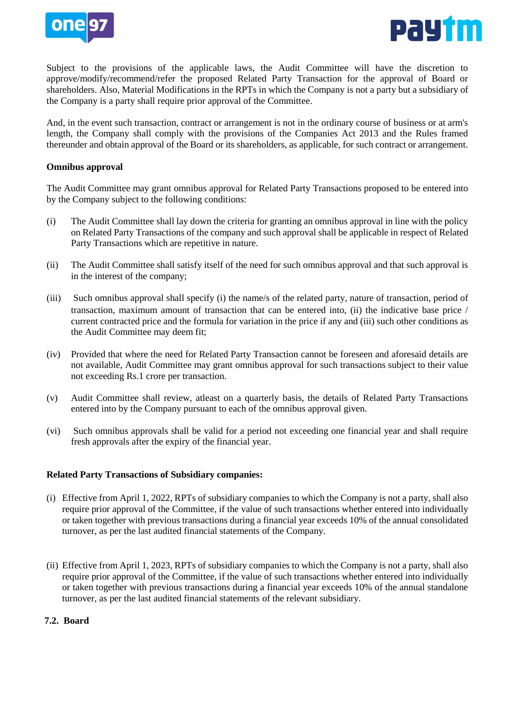



Subject to the provisions of the applicable laws, the Audit Committee will have the discretion to approve/modify/recommend/refer the proposed Related Party Transaction for the approval of Board or shareholders. Also, Material Modifications in the RPTs in which the Company is not a party but a subsidiary of the Company is a party shall require prior approval of the Committee.

And, in the event such transaction, contract or arrangement is not in the ordinary course of business or at arm's length, the Company shall comply with the provisions of the Companies Act 2013 and the Rules framed thereunder and obtain approval of the Board or its shareholders, as applicable, for such contract or arrangement.

### **Omnibus approval**

The Audit Committee may grant omnibus approval for Related Party Transactions proposed to be entered into by the Company subject to the following conditions:

- (i) The Audit Committee shall lay down the criteria for granting an omnibus approval in line with the policy on Related Party Transactions of the company and such approval shall be applicable in respect of Related Party Transactions which are repetitive in nature.
- (ii) The Audit Committee shall satisfy itself of the need for such omnibus approval and that such approval is in the interest of the company;
- (iii) Such omnibus approval shall specify (i) the name/s of the related party, nature of transaction, period of transaction, maximum amount of transaction that can be entered into, (ii) the indicative base price / current contracted price and the formula for variation in the price if any and (iii) such other conditions as the Audit Committee may deem fit;
- (iv) Provided that where the need for Related Party Transaction cannot be foreseen and aforesaid details are not available, Audit Committee may grant omnibus approval for such transactions subject to their value not exceeding Rs.1 crore per transaction.
- (v) Audit Committee shall review, atleast on a quarterly basis, the details of Related Party Transactions entered into by the Company pursuant to each of the omnibus approval given.
- (vi) Such omnibus approvals shall be valid for a period not exceeding one financial year and shall require fresh approvals after the expiry of the financial year.

# **Related Party Transactions of Subsidiary companies:**

- (i) Effective from April 1, 2022, RPTs of subsidiary companies to which the Company is not a party, shall also require prior approval of the Committee, if the value of such transactions whether entered into individually or taken together with previous transactions during a financial year exceeds 10% of the annual consolidated turnover, as per the last audited financial statements of the Company.
- (ii) Effective from April 1, 2023, RPTs of subsidiary companies to which the Company is not a party, shall also require prior approval of the Committee, if the value of such transactions whether entered into individually or taken together with previous transactions during a financial year exceeds 10% of the annual standalone turnover, as per the last audited financial statements of the relevant subsidiary.

# **7.2. Board**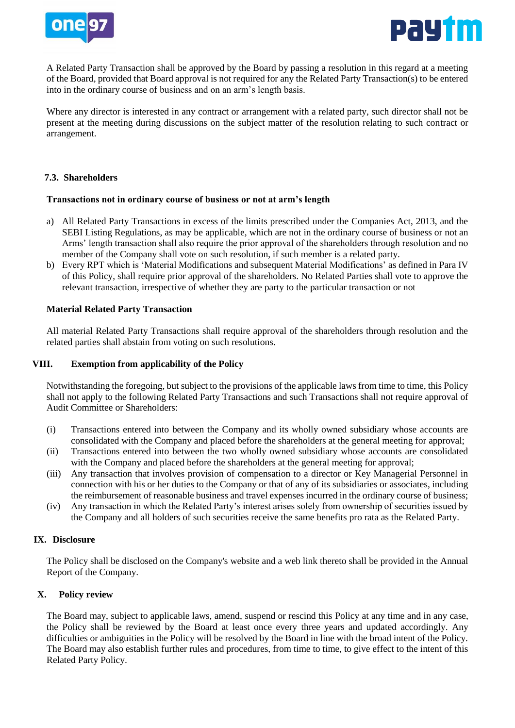



A Related Party Transaction shall be approved by the Board by passing a resolution in this regard at a meeting of the Board, provided that Board approval is not required for any the Related Party Transaction(s) to be entered into in the ordinary course of business and on an arm's length basis.

Where any director is interested in any contract or arrangement with a related party, such director shall not be present at the meeting during discussions on the subject matter of the resolution relating to such contract or arrangement.

### **7.3. Shareholders**

#### **Transactions not in ordinary course of business or not at arm's length**

- a) All Related Party Transactions in excess of the limits prescribed under the Companies Act, 2013, and the SEBI Listing Regulations, as may be applicable, which are not in the ordinary course of business or not an Arms' length transaction shall also require the prior approval of the shareholders through resolution and no member of the Company shall vote on such resolution, if such member is a related party.
- b) Every RPT which is 'Material Modifications and subsequent Material Modifications' as defined in Para IV of this Policy, shall require prior approval of the shareholders. No Related Parties shall vote to approve the relevant transaction, irrespective of whether they are party to the particular transaction or not

#### **Material Related Party Transaction**

All material Related Party Transactions shall require approval of the shareholders through resolution and the related parties shall abstain from voting on such resolutions.

### **VIII. Exemption from applicability of the Policy**

Notwithstanding the foregoing, but subject to the provisions of the applicable laws from time to time, this Policy shall not apply to the following Related Party Transactions and such Transactions shall not require approval of Audit Committee or Shareholders:

- (i) Transactions entered into between the Company and its wholly owned subsidiary whose accounts are consolidated with the Company and placed before the shareholders at the general meeting for approval;
- (ii) Transactions entered into between the two wholly owned subsidiary whose accounts are consolidated with the Company and placed before the shareholders at the general meeting for approval;
- (iii) Any transaction that involves provision of compensation to a director or Key Managerial Personnel in connection with his or her duties to the Company or that of any of its subsidiaries or associates, including the reimbursement of reasonable business and travel expenses incurred in the ordinary course of business;
- (iv) Any transaction in which the Related Party's interest arises solely from ownership of securities issued by the Company and all holders of such securities receive the same benefits pro rata as the Related Party.

#### **IX. Disclosure**

The Policy shall be disclosed on the Company's website and a web link thereto shall be provided in the Annual Report of the Company.

# **X. Policy review**

The Board may, subject to applicable laws, amend, suspend or rescind this Policy at any time and in any case, the Policy shall be reviewed by the Board at least once every three years and updated accordingly. Any difficulties or ambiguities in the Policy will be resolved by the Board in line with the broad intent of the Policy. The Board may also establish further rules and procedures, from time to time, to give effect to the intent of this Related Party Policy.